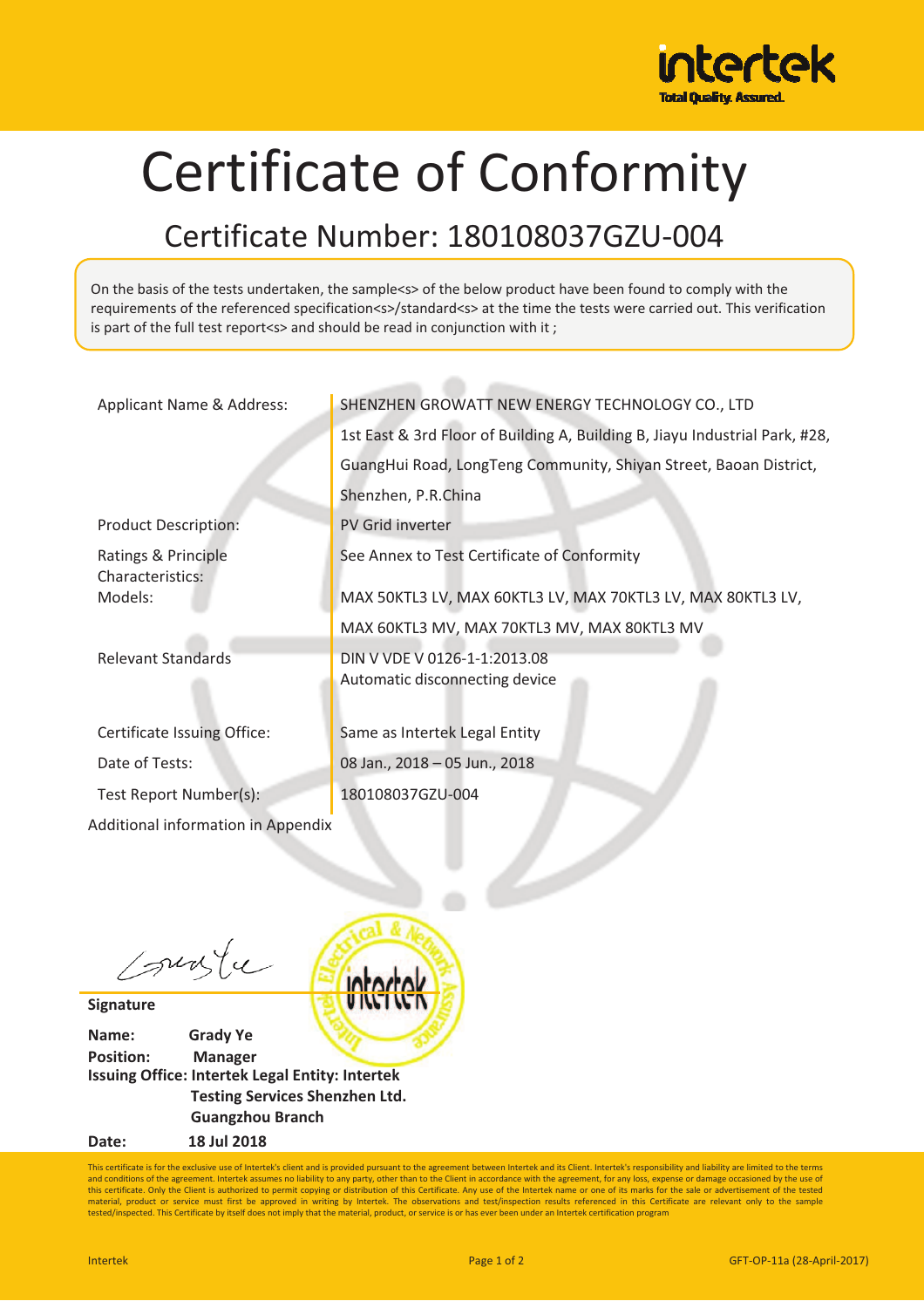

## Certificate of Conformity

## Certificate Number: 180108037GZU-004

On the basis of the tests undertaken, the sample<s> of the below product have been found to comply with the requirements of the referenced specification<s>/standard<s> at the time the tests were carried out. This verification is part of the full test report<s> and should be read in conjunction with it ;

| Applicant Name & Address:               | SHENZHEN GROWATT NEW ENERGY TECHNOLOGY CO., LTD                             |
|-----------------------------------------|-----------------------------------------------------------------------------|
|                                         | 1st East & 3rd Floor of Building A, Building B, Jiayu Industrial Park, #28, |
|                                         | GuangHui Road, LongTeng Community, Shiyan Street, Baoan District,           |
|                                         | Shenzhen, P.R.China                                                         |
| <b>Product Description:</b>             | PV Grid inverter                                                            |
| Ratings & Principle<br>Characteristics: | See Annex to Test Certificate of Conformity                                 |
| Models:                                 | MAX 50KTL3 LV, MAX 60KTL3 LV, MAX 70KTL3 LV, MAX 80KTL3 LV,                 |
|                                         | MAX 60KTL3 MV, MAX 70KTL3 MV, MAX 80KTL3 MV                                 |
| <b>Relevant Standards</b>               | DIN V VDE V 0126-1-1:2013.08<br>Automatic disconnecting device              |
| Certificate Issuing Office:             | Same as Intertek Legal Entity                                               |
| Date of Tests:                          | 08 Jan., 2018 - 05 Jun., 2018                                               |
| Test Report Number(s):                  | 180108037GZU-004                                                            |
| Additional information in Appendix      |                                                                             |
|                                         |                                                                             |

surfu

**Signature**

**Name:!!!!!!!!!!!!!!Grady Ye Position: Manager Issuing Office: Intertek Legal Entity: Intertek Testing Services Shenzhen Ltd. Guangzhou Branch Date:!!!!!!!!!!!!!!!!18 Jul 2018**

This certificate is for the exclusive use of Intertek's client and is provided pursuant to the agreement between Intertek and its Client. Intertek's responsibility and liability are limited to the terms and conditions of the agreement. Intertek assumes no liability to any party, other than to the Client in accordance with the agreement, for any loss, expense or damage occasioned by the use of<br>this certificate. Only the Cl material, product or service must first be approved in writing by Intertek. The observations and test/inspection results referenced in this Certificate are relevant only to the sample<br>tested/inspected. This Certificate by